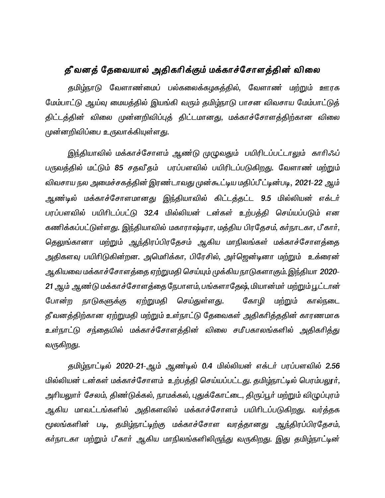# தீ வனத் தேவையால் அதிகரிக்கும் மக்காச்சோளத்தின் விலை

தமிழ்நாடு வேளாண்மைப் பல்கலைக்கழகத்தில், வேளாண மற்றும் ஊரக மேம்பாட்டு ஆய்வு மையத்தில் இயங்கி வரும் தமிழ்நாடு பாசன விவசாய மேம்பாட்டுத் திட்டத்தின் விலை முன்னறிவிப்புத் திட்டமானது, மக்காச்சோளத்திற்கான விலை முன்னறிவிப்பை உருவாக்கியுள்ள<u>த</u>ு.

இந்தியாவில் மக்காச்சோளம் ஆண்டு முழுவதும் பயிரிடப்பட்டாலும் காரிஃப் பருவத்தில் மட்டும் 85 சதவீதம் பரப்பளவில் பயிரிடப்படுகிறது. வேளாண் மற்றும் விவசாய நல அமைச்சகத்தின் இரண்டாவது முன்கூட்டிய மதிப்பீட்டின்படி, 2021-22 ஆம் ஆண்டில் மக்காச்சோளமானது இந்தியாவில் கிட்டத்தட்ட 9.5 மில்லியன் எக்டர் பரப்பளவில் பயிரிடப்பட்டு 32.4 மில்லியன் டன்கள் உற்பத்தி செய்யப்படும் என கணிக்கப்பட்டுள்ளது. இந்தியாவில் மகாராஷ்டிரா, மத்திய பிரதேசம், கர்நாடகா, பீகார், தெலுங்கானா மற்றும் ஆந்திரப்பிரதேசம் ஆகிய மாநிலங்கள் மக்காச்சோளத்தை அதிகளவு பயிரிடுகின்றன. அமெரிக்கா, பிரேசில், அர்ஜென்டினா மற்றும் உக்ரைன் ஆகியவை மக்காச்சோளத்தை ஏற்றுமதி செய்யும் முக்கிய நாடுகளாகும். இந்தியா 2020-21 ஆம் ஆண்டு மக்காச்சோளத்தை நேபாளம், பங்களாதேஷ், மியான்மர் மற்றும் பூட்டான் போன்ற நாடுகளுக்கு ஏற்றுமதி செய்துள்ளது. கோழி மற்றும் கால்நடை தீவனத்திற்கான ஏற்றுமதி மற்றும் உள்நாட்டு தேவைகள் அதிகரித்ததின் காரணமாக உள்நாட்டு சந்தையில் மக்காச்சோளத்தின் விலை சமீபகாலங்களில் அதிகரித்து வருகிறது.

தமிழ்நாட்டில் 2020-21-ஆம் ஆண்டில் 0.4 மில்லியன் எக்டர் பரப்பளவில் 2.56 மில்லியன் டன்கள் மக்காச்சோளம் உற்பத்தி செய்யப்பட்டது. தமிழ்நாட்டில் பெரம்பலூர், அரியலுார் சேலம், திணர்டுக்கல், நாமக்கல், புதுக்கோட்டை, திருப்பூர் மற்றும் விழுப்புரம் ஆகிய மாவட்டங்களில் அதிகளவில் மக்காச்சோளம் பயிரிடப்படுகிறது. வர்த்தக மூலங்களின் படி, தமிழ்நாட்டிற்கு மக்காச்சோள வரத்தானது ஆந்திரப்பிரதேசம், கர்நாடகா மற்றும் பீகார் ஆகிய மாநிலங்களிலிருந்து வருகிறது. இது தமிழ்நாட்டின்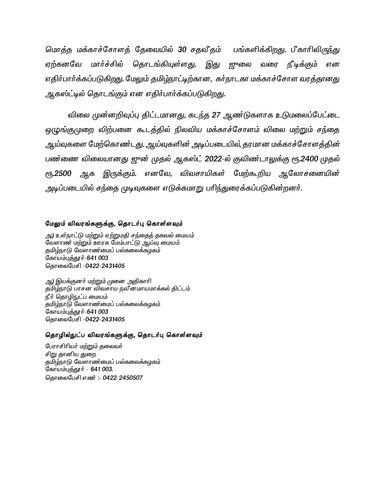மொத்த மக்காச்சோளத் தேவையில் 30 சதவீதம் பங்களிக்கிறது. பீகாரிலிருந்து ஏற்கனவே மார்ச்சில் தொடங்கியுள்ளது. வரை ரி*டிக்கு*ம் என எதிர்பார்க்கப்படுகிறது. மேலும் தமிழ்நாட்டிற்கான, கர்நாடகா மக்காச்சோள வரத்தானது ஆகஸ்ட்டில் தொடங்கும் என எதிர்பார்க்கப்படுகிறது.

விலை முன்னறிவுப்பு திட்டமானது, கடந்த 27 ஆண்டுகளாக உடுமலைப்பேட்டை ஒழுங்குமுறை விற்பனை கூடத்தில் நிலவிய மக்காச்சோளம் விலை மற்றும் சந்தை ஆய்வுகளை மேற்கொண்டது. ஆய்வுகளின் அடிப்படையில், தரமான மக்காச்சோளத்தின் பண்ணை விலையானது ஜுன் முதல் ஆகஸ்ட் 2022-ல் குவிண்டாலுக்கு ரூ.2400 முதல் இருக்கும். எனவே, விவசாயிகள் மேற்கூறிய ஆலோசனையின் **е** 500 அக அடிப்படையில் சந்தை முடிவுகளை எடுக்கமாறு பரிந்துரைக்கப்படுகின்றனர்.

## மேலும் விவரங்களுக்கு, தொடர்பு கொள்ளவும்

அ) உள்நாட்டு மற்றும் ஏற்றுமதி சந்தைத் தகவல் மையம் வேளாண் மற்றும் ஊரக மேம்பாட்டு ஆய்வு மையம் குமிழ்நாடு வேளாண்மைப் பல்கலைக்கழகம் கோயம்புத்தூர்-641 003 தொலைபேசி -0422-2431405

ஆ) இயக்குனர் மற்றும் முனை அதிகாரி தமிழ்நாடு பாசன விவசாய நவீனமாயமாக்கல் திட்டம் நீர் தொழிநுட்ப மையம் தமிழ்நாடு வேளாண்மைப் பல்கலைக்கழகம் கோயம்புத்தூர்-641 003 தொலைபேசி -0422-2431405

### தொழில்நுட்ப விவரங்களுக்கு, தொடர்பு கொள்ளவும்

பேராசிரியர் மற்றும் தலைவர் சிறு தானிய துறை தமிழ்நாடு வேளாண்மைப் பல்கலைக்கழகம் கோயம்புத்தூர் - 641 003. தொலைபேசி எண்: - 0422-2450507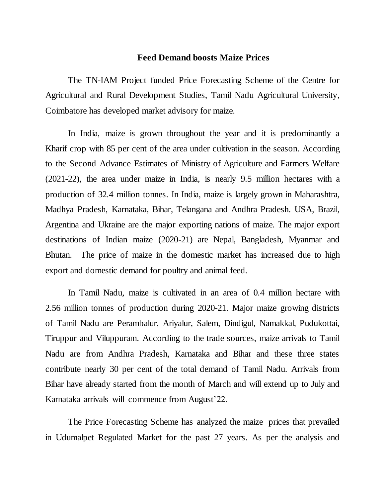# **Feed Demand boosts Maize Prices**

The TN-IAM Project funded Price Forecasting Scheme of the Centre for Agricultural and Rural Development Studies, Tamil Nadu Agricultural University, Coimbatore has developed market advisory for maize.

In India, maize is grown throughout the year and it is predominantly a Kharif crop with 85 per cent of the area under cultivation in the season. According to the Second Advance Estimates of Ministry of Agriculture and Farmers Welfare (2021-22), the area under maize in India, is nearly 9.5 million hectares with a production of 32.4 million tonnes. In India, maize is largely grown in Maharashtra, Madhya Pradesh, Karnataka, Bihar, Telangana and Andhra Pradesh. USA, Brazil, Argentina and Ukraine are the major exporting nations of maize. The major export destinations of Indian maize (2020-21) are Nepal, Bangladesh, Myanmar and Bhutan. The price of maize in the domestic market has increased due to high export and domestic demand for poultry and animal feed.

In Tamil Nadu, maize is cultivated in an area of 0.4 million hectare with 2.56 million tonnes of production during 2020-21. Major maize growing districts of Tamil Nadu are Perambalur, Ariyalur, Salem, Dindigul, Namakkal, Pudukottai, Tiruppur and Viluppuram. According to the trade sources, maize arrivals to Tamil Nadu are from Andhra Pradesh, Karnataka and Bihar and these three states contribute nearly 30 per cent of the total demand of Tamil Nadu. Arrivals from Bihar have already started from the month of March and will extend up to July and Karnataka arrivals will commence from August'22.

The Price Forecasting Scheme has analyzed the maize prices that prevailed in Udumalpet Regulated Market for the past 27 years. As per the analysis and